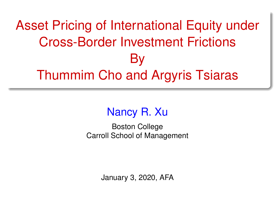# <span id="page-0-0"></span>Asset Pricing of International Equity under Cross-Border Investment Frictions By Thummim Cho and Argyris Tsiaras

# Nancy R. Xu

Boston College Carroll School of Management

January 3, 2020, AFA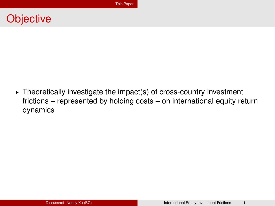#### <span id="page-1-0"></span>**Objective**

 $\triangleright$  Theoretically investigate the impact(s) of cross-country investment frictions – represented by holding costs – on international equity return dynamics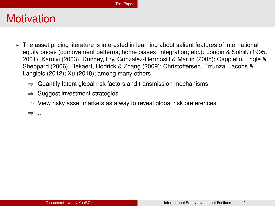- ► The asset pricing literature is interested in learning about salient features of international equity prices (comovement patterns; home biases; integration; etc.): Longin & Solnik (1995, 2001); Karolyi (2003); Dungey, Fry, Gonzalez-Hermosill & Martin (2005); Cappiello, Engle & Sheppard (2006); Bekaert, Hodrick & Zhang (2009); Christoffersen, Errunza, Jacobs & Langlois (2012); Xu (2018); among many others
	- $\Rightarrow$  Quantify latent global risk factors and transmission mechanisms
	- $\Rightarrow$  Suggest investment strategies
	- $\Rightarrow$  View risky asset markets as a way to reveal global risk preferences

 $\Rightarrow$  ...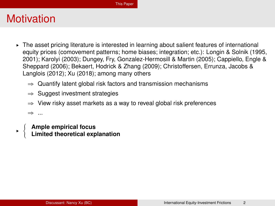- ► The asset pricing literature is interested in learning about salient features of international equity prices (comovement patterns; home biases; integration; etc.): Longin & Solnik (1995, 2001); Karolyi (2003); Dungey, Fry, Gonzalez-Hermosill & Martin (2005); Cappiello, Engle & Sheppard (2006); Bekaert, Hodrick & Zhang (2009); Christoffersen, Errunza, Jacobs & Langlois (2012); Xu (2018); among many others
	- $\Rightarrow$  Quantify latent global risk factors and transmission mechanisms
	- $\Rightarrow$  Suggest investment strategies
	- $\Rightarrow$  View risky asset markets as a way to reveal global risk preferences

 $\Rightarrow$  ...

§

**Ample empirical focus Limited theoretical explanation**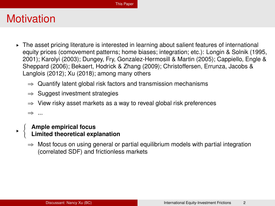- ► The asset pricing literature is interested in learning about salient features of international equity prices (comovement patterns; home biases; integration; etc.): Longin & Solnik (1995, 2001); Karolyi (2003); Dungey, Fry, Gonzalez-Hermosill & Martin (2005); Cappiello, Engle & Sheppard (2006); Bekaert, Hodrick & Zhang (2009); Christoffersen, Errunza, Jacobs & Langlois (2012); Xu (2018); among many others
	- $\Rightarrow$  Quantify latent global risk factors and transmission mechanisms
	- $\Rightarrow$  Suggest investment strategies
	- $\Rightarrow$  View risky asset markets as a way to reveal global risk preferences

 $\Rightarrow$  ...

§

#### **Ample empirical focus Limited theoretical explanation**

 $\Rightarrow$  Most focus on using general or partial equilibrium models with partial integration (correlated SDF) and frictionless markets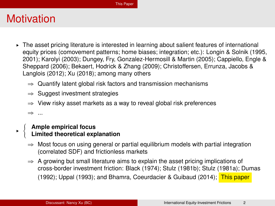- ► The asset pricing literature is interested in learning about salient features of international equity prices (comovement patterns; home biases; integration; etc.): Longin & Solnik (1995, 2001); Karolyi (2003); Dungey, Fry, Gonzalez-Hermosill & Martin (2005); Cappiello, Engle & Sheppard (2006); Bekaert, Hodrick & Zhang (2009); Christoffersen, Errunza, Jacobs & Langlois (2012); Xu (2018); among many others
	- $\Rightarrow$  Quantify latent global risk factors and transmission mechanisms
	- $\Rightarrow$  Suggest investment strategies
	- $\Rightarrow$  View risky asset markets as a way to reveal global risk preferences

 $\Rightarrow$  ...

§

#### **Ample empirical focus Limited theoretical explanation**

- $\Rightarrow$  Most focus on using general or partial equilibrium models with partial integration (correlated SDF) and frictionless markets
- $\Rightarrow$  A growing but small literature aims to explain the asset pricing implications of cross-border investment friction: Black (1974); Stulz (1981b); Stulz (1981a); Dumas (1992); Uppal (1993); and Bhamra, Coeurdacier & Guibaud (2014); This paper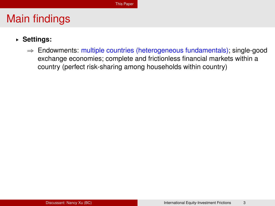- § **Settings:**
	- $\Rightarrow$  Endowments: multiple countries (heterogeneous fundamentals); single-good exchange economies; complete and frictionless financial markets within a country (perfect risk-sharing among households within country)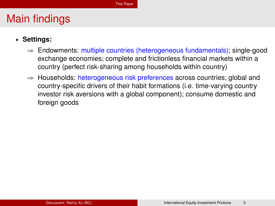- § **Settings:**
	- $\Rightarrow$  Endowments: multiple countries (heterogeneous fundamentals); single-good exchange economies; complete and frictionless financial markets within a country (perfect risk-sharing among households within country)
	- $\Rightarrow$  Households: heterogeneous risk preferences across countries; global and country-specific drivers of their habit formations (i.e. time-varying country investor risk aversions with a global component); consume domestic and foreign goods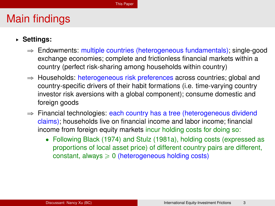- § **Settings:**
	- $\Rightarrow$  Endowments: multiple countries (heterogeneous fundamentals); single-good exchange economies; complete and frictionless financial markets within a country (perfect risk-sharing among households within country)
	- $\Rightarrow$  Households: heterogeneous risk preferences across countries; global and country-specific drivers of their habit formations (i.e. time-varying country investor risk aversions with a global component); consume domestic and foreign goods
	- $\Rightarrow$  Financial technologies: each country has a tree (heterogeneous dividend claims); households live on financial income and labor income; financial income from foreign equity markets incur holding costs for doing so:
		- ' Following Black (1974) and Stulz (1981a), holding costs (expressed as proportions of local asset price) of different country pairs are different, constant, always  $\geq 0$  (heterogeneous holding costs)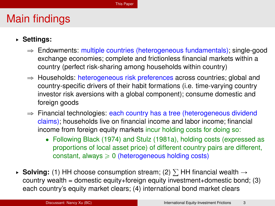- § **Settings:**
	- $\Rightarrow$  Endowments: multiple countries (heterogeneous fundamentals); single-good exchange economies; complete and frictionless financial markets within a country (perfect risk-sharing among households within country)
	- $\Rightarrow$  Households: heterogeneous risk preferences across countries; global and country-specific drivers of their habit formations (i.e. time-varying country investor risk aversions with a global component); consume domestic and foreign goods
	- $\Rightarrow$  Financial technologies: each country has a tree (heterogeneous dividend claims); households live on financial income and labor income; financial income from foreign equity markets incur holding costs for doing so:
		- ' Following Black (1974) and Stulz (1981a), holding costs (expressed as proportions of local asset price) of different country pairs are different, constant, always  $\geq 0$  (heterogeneous holding costs)
- **► Solving:** (1) HH choose consumption stream; (2)  $\Sigma$  HH financial wealth  $\rightarrow$ country wealth = domestic equity+foreign equity investment+domestic bond; (3) each country's equity market clears; (4) international bond market clears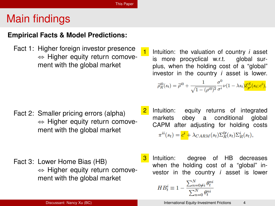#### **Empirical Facts & Model Predictions:**

Fact 1: Higher foreign investor presence  $\Leftrightarrow$  Higher equity return comovement with the global market

Fact 2: Smaller pricing errors (alpha)  $\Leftrightarrow$  Higher equity return comovement with the global market

Fact 3: Lower Home Bias (HB)  $\Leftrightarrow$  Higher equity return comovement with the global market

1 Intuition: the valuation of country *i* asset is more procyclical w.r.t. global surplus, when the holding cost of a "global" investor in the country *i* asset is lower.

$$
\widetilde{\rho}_R^{i0}(s_t) = \widetilde{\rho}^{i0} + \frac{1}{\sqrt{1 - (\rho^{i0})^2}} \frac{\sigma^0}{\sigma^i} \nu(1 - \lambda s_t) \mathcal{E}_{pi}^S(s_t; c^i),
$$

- 2 Intuition: equity returns of integrated markets obey a conditional global CAPM after adjusting for holding costs  $\pi^{ii}(s_t) = \mathbf{c}^i + \lambda_{CARM}(s_t) \Sigma_R^{0}(s_t) \Sigma_R^i(s_t),$
- **3** Intuition: degree of HB decreases when the holding cost of a "global" investor in the country *i* asset is lower

$$
HB_t^i \equiv 1 - \frac{\sum_{n=0 \neq i}^{N} \theta_t^{ni}}{\sum_{n=0}^{N} \theta_t^{ni}}
$$

Discussant: Nancy Xu (BC) **[International Equity-Investment Frictions](#page-0-0)** 4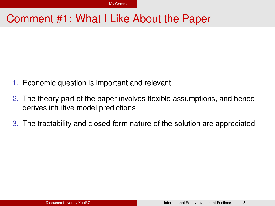#### <span id="page-11-0"></span>Comment #1: What I Like About the Paper

- 1. Economic question is important and relevant
- 2. The theory part of the paper involves flexible assumptions, and hence derives intuitive model predictions
- 3. The tractability and closed-form nature of the solution are appreciated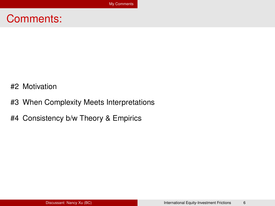#### Comments:

- #2 Motivation
- #3 When Complexity Meets Interpretations
- #4 Consistency b/w Theory & Empirics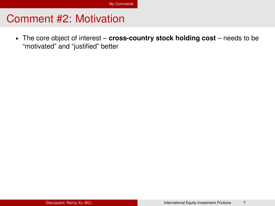§ The core object of interest – **cross-country stock holding cost** – needs to be "motivated" and "justified" better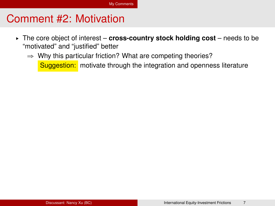- § The core object of interest **cross-country stock holding cost** needs to be "motivated" and "justified" better
	- $\Rightarrow$  Why this particular friction? What are competing theories? Suggestion: motivate through the integration and openness literature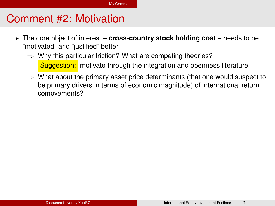- § The core object of interest **cross-country stock holding cost** needs to be "motivated" and "justified" better
	- $\Rightarrow$  Why this particular friction? What are competing theories? Suggestion: motivate through the integration and openness literature
	- $\Rightarrow$  What about the primary asset price determinants (that one would suspect to be primary drivers in terms of economic magnitude) of international return comovements?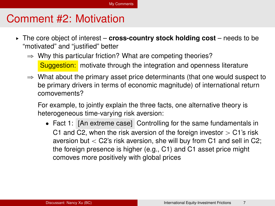- § The core object of interest **cross-country stock holding cost** needs to be "motivated" and "justified" better
	- $\Rightarrow$  Why this particular friction? What are competing theories? **Suggestion:** motivate through the integration and openness literature
	- $\Rightarrow$  What about the primary asset price determinants (that one would suspect to be primary drivers in terms of economic magnitude) of international return comovements?

For example, to jointly explain the three facts, one alternative theory is heterogeneous time-varying risk aversion:

• Fact 1: [An extreme case] Controlling for the same fundamentals in C1 and C2, when the risk aversion of the foreign investor  $>$  C1's risk aversion but  $<$  C2's risk aversion, she will buy from C1 and sell in C2; the foreign presence is higher (e.g., C1) and C1 asset price might comoves more positively with global prices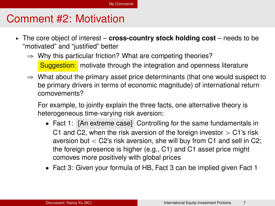- § The core object of interest **cross-country stock holding cost** needs to be "motivated" and "justified" better
	- $\Rightarrow$  Why this particular friction? What are competing theories? **Suggestion:** motivate through the integration and openness literature
	- $\Rightarrow$  What about the primary asset price determinants (that one would suspect to be primary drivers in terms of economic magnitude) of international return comovements?

For example, to jointly explain the three facts, one alternative theory is heterogeneous time-varying risk aversion:

- Fact 1: [An extreme case] Controlling for the same fundamentals in C1 and C2, when the risk aversion of the foreign investor  $>$  C1's risk aversion but  $<$  C2's risk aversion, she will buy from C1 and sell in C2; the foreign presence is higher (e.g., C1) and C1 asset price might comoves more positively with global prices
- Fact 3: Given your formula of HB, Fact 3 can be implied given Fact 1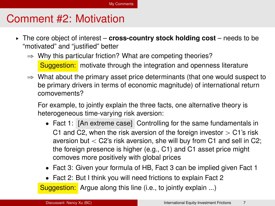- § The core object of interest **cross-country stock holding cost** needs to be "motivated" and "justified" better
	- $\Rightarrow$  Why this particular friction? What are competing theories? **Suggestion:** motivate through the integration and openness literature
	- $\Rightarrow$  What about the primary asset price determinants (that one would suspect to be primary drivers in terms of economic magnitude) of international return comovements?

For example, to jointly explain the three facts, one alternative theory is heterogeneous time-varying risk aversion:

- Fact 1: [An extreme case] Controlling for the same fundamentals in C1 and C2, when the risk aversion of the foreign investor  $>$  C1's risk aversion but  $<$  C2's risk aversion, she will buy from C1 and sell in C2; the foreign presence is higher (e.g., C1) and C1 asset price might comoves more positively with global prices
- Fact 3: Given your formula of HB, Fact 3 can be implied given Fact 1
- Fact 2: But I think you will need frictions to explain Fact 2

Suggestion: Argue along this line (i.e., to jointly explain ...)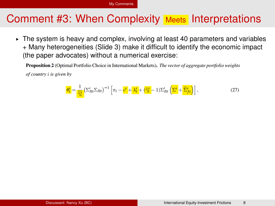#### Comment #3: When Complexity Meets Interpretations

§ The system is heavy and complex, involving at least 40 parameters and variables + Many heterogeneities (Slide 3) make it difficult to identify the economic impact (the paper advocates) without a numerical exercise:

**Proposition 2** (Optimal Portfolio Choice in International Markets). The vector of aggregate portfolio weights

 $of country$  i is given by

$$
\frac{\theta_t^i}{\hat{\gamma}_t^i} = \frac{1}{\hat{\gamma}_t^i} \left( \Sigma'_{Rt} \Sigma_{Rt} \right)^{-1} \left[ \pi_t - \frac{c^i}{\hat{\gamma}_t^i} + \lambda_t^i + \left( \frac{\hat{\gamma}_t^i}{\hat{\gamma}_t^i} - 1 \right) \Sigma'_{Rt} \left( \frac{\Sigma^i}{\hat{\gamma}_t^i} + \frac{\tilde{\Sigma}^i_{ft}}{\hat{\gamma}_t^i} \right) \right],
$$
\n(27)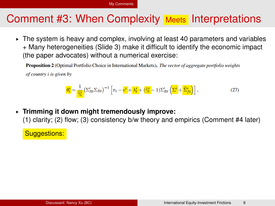#### Comment #3: When Complexity Meets Interpretations

§ The system is heavy and complex, involving at least 40 parameters and variables + Many heterogeneities (Slide 3) make it difficult to identify the economic impact (the paper advocates) without a numerical exercise:

**Proposition 2** (Optimal Portfolio Choice in International Markets). The vector of aggregate portfolio weights

 $of country$  i is given by

$$
\frac{\theta_t^i}{\tilde{\gamma}_t^i} = \frac{1}{\tilde{\gamma}_t^i} \left( \Sigma'_{Rt} \Sigma_{Rt} \right)^{-1} \left[ \pi_t - \frac{c^i}{\tilde{\gamma}_t^i} + \lambda_t^i + \left( \tilde{\gamma}_t^i - 1 \right) \Sigma'_{Rt} \left( \Sigma^i + \tilde{\Sigma}^i_{ft} \right) \right],\tag{27}
$$

§ **Trimming it down might tremendously improve:**

(1) clarity; (2) flow; (3) consistency b/w theory and empirics (Comment #4 later)

Suggestions: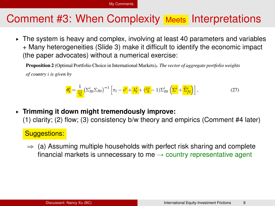#### Comment #3: When Complexity Meets Interpretations

§ The system is heavy and complex, involving at least 40 parameters and variables + Many heterogeneities (Slide 3) make it difficult to identify the economic impact (the paper advocates) without a numerical exercise:

**Proposition 2** (Optimal Portfolio Choice in International Markets). The vector of aggregate portfolio weights

 $of country$  i is given by

$$
\frac{\theta_t^i}{\tilde{\gamma}_t^i} = \frac{1}{\tilde{\gamma}_t^i} \left( \Sigma'_{Rt} \Sigma_{Rt} \right)^{-1} \left[ \pi_t - \frac{\mathbf{c}^i}{\mathbf{c}^i} + \lambda_t^i + \left( \frac{\tilde{\gamma}_t^i}{\tilde{\gamma}_t^i} - 1 \right) \Sigma'_{Rt} \left( \Sigma^i + \widetilde{\Sigma}_{ft}^i \right) \right],
$$
(27)

§ **Trimming it down might tremendously improve:** (1) clarity; (2) flow; (3) consistency b/w theory and empirics (Comment #4 later)

#### Suggestions:

 $\Rightarrow$  (a) Assuming multiple households with perfect risk sharing and complete financial markets is unnecessary to me  $\rightarrow$  country representative agent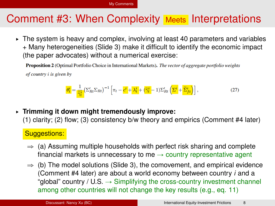# Comment #3: When Complexity Meets Interpretations

§ The system is heavy and complex, involving at least 40 parameters and variables + Many heterogeneities (Slide 3) make it difficult to identify the economic impact (the paper advocates) without a numerical exercise:

**Proposition 2** (Optimal Portfolio Choice in International Markets). The vector of aggregate portfolio weights

 $of country$  i is given by

$$
\frac{\theta_t^i}{\tilde{\gamma}_t^i} = \frac{1}{\tilde{\gamma}_t^i} \left( \Sigma'_{Rt} \Sigma_{Rt} \right)^{-1} \left[ \pi_t - \frac{c^i}{\tilde{\gamma}_t^i} + \lambda_t^i + \left( \tilde{\gamma}_t^i - 1 \right) \Sigma'_{Rt} \left( \Sigma^i + \tilde{\Sigma}^i_{ft} \right) \right],\tag{27}
$$

# § **Trimming it down might tremendously improve:**

(1) clarity; (2) flow; (3) consistency b/w theory and empirics (Comment #4 later)

#### Suggestions:

- $\Rightarrow$  (a) Assuming multiple households with perfect risk sharing and complete financial markets is unnecessary to me  $\rightarrow$  country representative agent
- $\Rightarrow$  (b) The model solutions (Slide 3), the comovement, and empirical evidence (Comment #4 later) are about a world economy between country *i* and a "global" country / U.S.  $\rightarrow$  Simplifying the cross-country investment channel among other countries will not change the key results (e.g., eq. 11)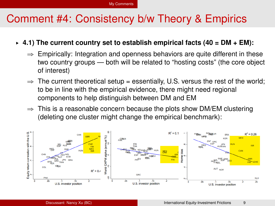### Comment #4: Consistency b/w Theory & Empirics

#### $\div$  4.1) The current country set to establish empirical facts (40 = DM  $+$  EM):

- $\Rightarrow$  Empirically: Integration and openness behaviors are quite different in these two country groups — both will be related to "hosting costs" (the core object of interest)
- $\Rightarrow$  The current theoretical setup = essentially, U.S. versus the rest of the world; to be in line with the empirical evidence, there might need regional components to help distinguish between DM and EM
- $\Rightarrow$  This is a reasonable concern because the plots show DM/EM clustering (deleting one cluster might change the empirical benchmark):

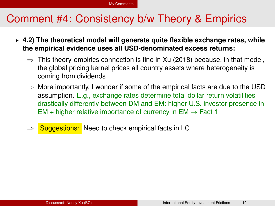## Comment #4: Consistency b/w Theory & Empirics

- § **4.2) The theoretical model will generate quite flexible exchange rates, while the empirical evidence uses all USD-denominated excess returns:**
	- $\Rightarrow$  This theory-empirics connection is fine in Xu (2018) because, in that model, the global pricing kernel prices all country assets where heterogeneity is coming from dividends
	- $\Rightarrow$  More importantly, I wonder if some of the empirical facts are due to the USD assumption. E.g., exchange rates determine total dollar return volatilities drastically differently between DM and EM: higher U.S. investor presence in EM + higher relative importance of currency in  $EM \rightarrow$  Fact 1
	- $\Rightarrow$  Suggestions: Need to check empirical facts in LC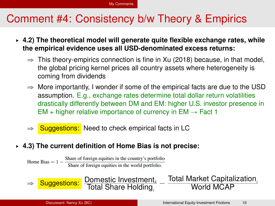# Comment #4: Consistency b/w Theory & Empirics

- § **4.2) The theoretical model will generate quite flexible exchange rates, while the empirical evidence uses all USD-denominated excess returns:**
	- $\Rightarrow$  This theory-empirics connection is fine in Xu (2018) because, in that model, the global pricing kernel prices all country assets where heterogeneity is coming from dividends
	- $\Rightarrow$  More importantly, I wonder if some of the empirical facts are due to the USD assumption. E.g., exchange rates determine total dollar return volatilities drastically differently between DM and EM: higher U.S. investor presence in EM + higher relative importance of currency in  $EM \rightarrow$  Fact 1

 $\overline{\phantom{0}}$ 

- $\Rightarrow$  Suggestions: Need to check empirical facts in LC
- § **4.3) The current definition of Home Bias is not precise:**

tal Share Holding

Share of foreign equities in the country's portfolio Home Bias  $= 1 -$ Share of foreign equities in the world portfolio.

⇒ **Suggestions:** Domestic Investment<sub>ii</sub>

Total Market Capitalization*<sup>i</sup>* World MCAP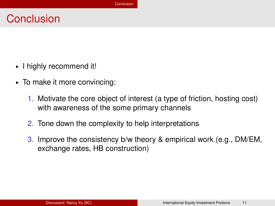#### <span id="page-26-0"></span>**Conclusion**

- § I highly recommend it!
- § To make it more convincing:
	- 1. Motivate the core object of interest (a type of friction, hosting cost) with awareness of the some primary channels
	- 2. Tone down the complexity to help interpretations
	- 3. Improve the consistency b/w theory & empirical work (e.g., DM/EM, exchange rates, HB construction)